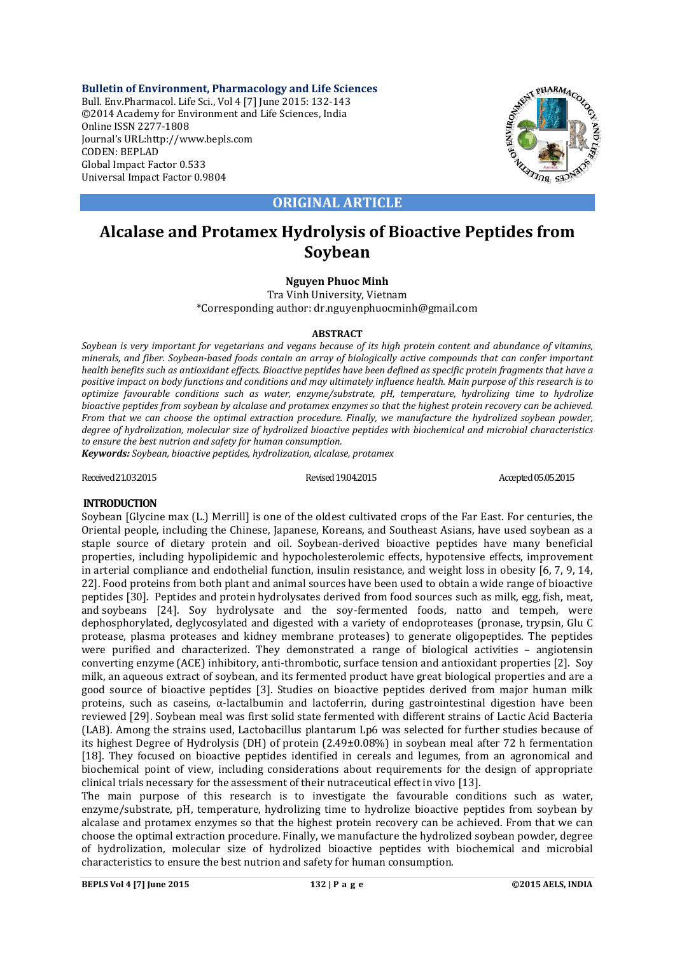**Bulletin of Environment, Pharmacology and Life Sciences** Bull. Env.Pharmacol. Life Sci., Vol 4 [7] June 2015: 132-143 ©2014 Academy for Environment and Life Sciences, India Online ISSN 2277-1808 Journal's URL:http://www.bepls.com CODEN: BEPLAD Global Impact Factor 0.533 Universal Impact Factor 0.9804



**ORIGINAL ARTICLE**

# **Alcalase and Protamex Hydrolysis of Bioactive Peptides from Soybean**

## **Nguyen Phuoc Minh**

Tra Vinh University, Vietnam \*Corresponding author: dr.nguyenphuocminh@gmail.com

#### **ABSTRACT**

*Soybean is very important for vegetarians and vegans because of its high protein content and abundance of vitamins, minerals, and fiber. Soybean-based foods contain an array of biologically active compounds that can confer important health benefits such as antioxidant effects. Bioactive peptides have been defined as specific protein fragments that have a positive impact on body functions and conditions and may ultimately influence health. Main purpose of this research is to optimize favourable conditions such as water, enzyme/substrate, pH, temperature, hydrolizing time to hydrolize bioactive peptides from soybean by alcalase and protamex enzymes so that the highest protein recovery can be achieved. From that we can choose the optimal extraction procedure. Finally, we manufacture the hydrolized soybean powder, degree of hydrolization, molecular size of hydrolized bioactive peptides with biochemical and microbial characteristics to ensure the best nutrion and safety for human consumption.*

*Keywords: Soybean, bioactive peptides, hydrolization, alcalase, protamex*

Received 21.03.2015 **Revised 19.04.2015** Revised 19.04.2015 **Accepted 05.05.2015** 

### **INTRODUCTION**

Soybean [Glycine max (L.) Merrill] is one of the oldest cultivated crops of the Far East. For centuries, the Oriental people, including the Chinese, Japanese, Koreans, and Southeast Asians, have used soybean as a staple source of dietary protein and oil. Soybean-derived bioactive peptides have many beneficial properties, including hypolipidemic and hypocholesterolemic effects, hypotensive effects, improvement in arterial compliance and endothelial function, insulin resistance, and weight loss in obesity [6, 7, 9, 14, 22]. Food proteins from both plant and animal sources have been used to obtain a wide range of bioactive peptides [30]. Peptides and protein hydrolysates derived from food sources such as milk, egg, fish, meat, and soybeans [24]. Soy hydrolysate and the soy-fermented foods, natto and tempeh, were dephosphorylated, deglycosylated and digested with a variety of endoproteases (pronase, trypsin, Glu C protease, plasma proteases and kidney membrane proteases) to generate oligopeptides. The peptides were purified and characterized. They demonstrated a range of biological activities – angiotensin converting enzyme (ACE) inhibitory, anti-thrombotic, surface tension and antioxidant properties [2]. Soy milk, an aqueous extract of soybean, and its fermented product have great biological properties and are a good source of bioactive peptides [3]. Studies on bioactive peptides derived from major human milk proteins, such as caseins, α-lactalbumin and lactoferrin, during gastrointestinal digestion have been reviewed [29]. Soybean meal was first solid state fermented with different strains of Lactic Acid Bacteria (LAB). Among the strains used, Lactobacillus plantarum Lp6 was selected for further studies because of its highest Degree of Hydrolysis (DH) of protein (2.49±0.08%) in soybean meal after 72 h fermentation [18]. They focused on bioactive peptides identified in cereals and legumes, from an agronomical and biochemical point of view, including considerations about requirements for the design of appropriate clinical trials necessary for the assessment of their nutraceutical effect in vivo [13].

The main purpose of this research is to investigate the favourable conditions such as water, enzyme/substrate, pH, temperature, hydrolizing time to hydrolize bioactive peptides from soybean by alcalase and protamex enzymes so that the highest protein recovery can be achieved. From that we can choose the optimal extraction procedure. Finally, we manufacture the hydrolized soybean powder, degree of hydrolization, molecular size of hydrolized bioactive peptides with biochemical and microbial characteristics to ensure the best nutrion and safety for human consumption.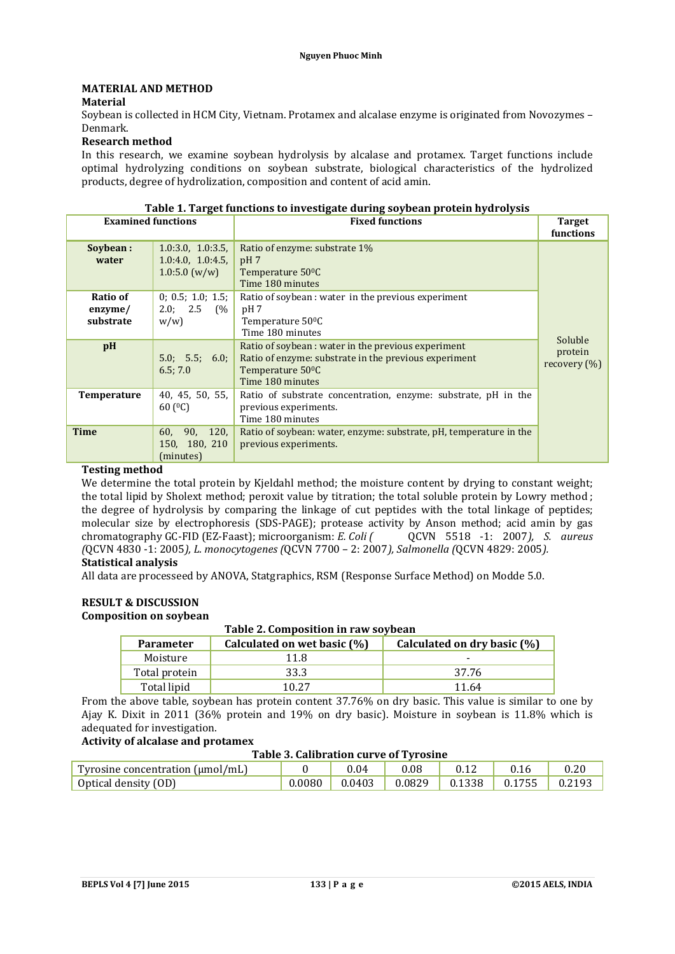## **MATERIAL AND METHOD**

## **Material**

Soybean is collected in HCM City, Vietnam. Protamex and alcalase enzyme is originated from Novozymes – Denmark.

## **Research method**

In this research, we examine soybean hydrolysis by alcalase and protamex. Target functions include optimal hydrolyzing conditions on soybean substrate, biological characteristics of the hydrolized products, degree of hydrolization, composition and content of acid amin.

| <b>Examined functions</b>        |                                                                  | <b>Fixed functions</b>                                                                                                                                           | <b>Target</b><br>functions  |
|----------------------------------|------------------------------------------------------------------|------------------------------------------------------------------------------------------------------------------------------------------------------------------|-----------------------------|
| Soybean:<br>water                | 1.0:3.0, 1.0:3.5,<br>1.0:4.0, 1.0:4.5<br>$1.0:5.0 \text{ (w/w)}$ | Ratio of enzyme: substrate 1%<br>pH <sub>7</sub><br>Temperature 50 <sup>o</sup> C<br>Time 180 minutes                                                            |                             |
| Ratio of<br>enzyme/<br>substrate | 0; 0.5; 1.0; 1.5;<br>2.0; 2.5 (%<br>w/w                          | Ratio of soybean : water in the previous experiment<br>pH <sub>7</sub><br>Temperature 50 <sup>o</sup> C<br>Time 180 minutes                                      | Soluble                     |
| pH                               | 5.0; 5.5; 6.0;<br>6.5; 7.0                                       | Ratio of soybean: water in the previous experiment<br>Ratio of enzyme: substrate in the previous experiment<br>Temperature 50 <sup>o</sup> C<br>Time 180 minutes | protein<br>recovery $(\% )$ |
| Temperature                      | 40, 45, 50, 55,<br>60 $(C)$                                      | Ratio of substrate concentration, enzyme: substrate, pH in the<br>previous experiments.<br>Time 180 minutes                                                      |                             |
| <b>Time</b>                      | 90, 120,<br>60,<br>150, 180, 210<br>(minutes)                    | Ratio of soybean: water, enzyme: substrate, pH, temperature in the<br>previous experiments.                                                                      |                             |

#### **Table 1. Target functions to investigate during soybean protein hydrolysis**

### **Testing method**

We determine the total protein by Kjeldahl method; the moisture content by drying to constant weight; the total lipid by Sholext method; peroxit value by titration; the total soluble protein by Lowry method ; the degree of hydrolysis by comparing the linkage of cut peptides with the total linkage of peptides; molecular size by electrophoresis (SDS-PAGE); protease activity by Anson method; acid amin by gas chromatography GC-FID (EZ-Faast); microorganism: *E. Coli* ( OCVN 5518 -1: 2007), *S. aureus* chromatography GC-FID (EZ-Faast); microorganism: *E. Coli ( (*QCVN 4830 -1: 2005*), L. monocytogenes (*QCVN 7700 – 2: 2007*), Salmonella (*QCVN 4829: 2005*).* **Statistical analysis**

All data are processeed by ANOVA, Statgraphics, RSM (Response Surface Method) on Modde 5.0.

# **RESULT & DISCUSSION**

#### **Composition on soybean**

#### **Table 2. Composition in raw soybean**

| <b>Parameter</b> | Calculated on wet basic (%) | Calculated on dry basic (%) |
|------------------|-----------------------------|-----------------------------|
| Moisture         | 11.8                        |                             |
| Total protein    | 33.3                        | 37.76                       |
| Total lipid      | 10.27                       | 11.64                       |

From the above table, soybean has protein content 37.76% on dry basic. This value is similar to one by Ajay K. Dixit in 2011 (36% protein and 19% on dry basic). Moisture in soybean is 11.8% which is adequated for investigation.

## **Activity of alcalase and protamex**

### **Table 3. Calibration curve of Tyrosine**

| Tyrosine concentration $(\mu mol/mL)$ |        | 0.04 | 0.08                                 | 0.16 |  |
|---------------------------------------|--------|------|--------------------------------------|------|--|
| Optical density (OD)                  | 0.0080 |      | $0.0403$ 0.0829 0.1338 0.1755 0.2193 |      |  |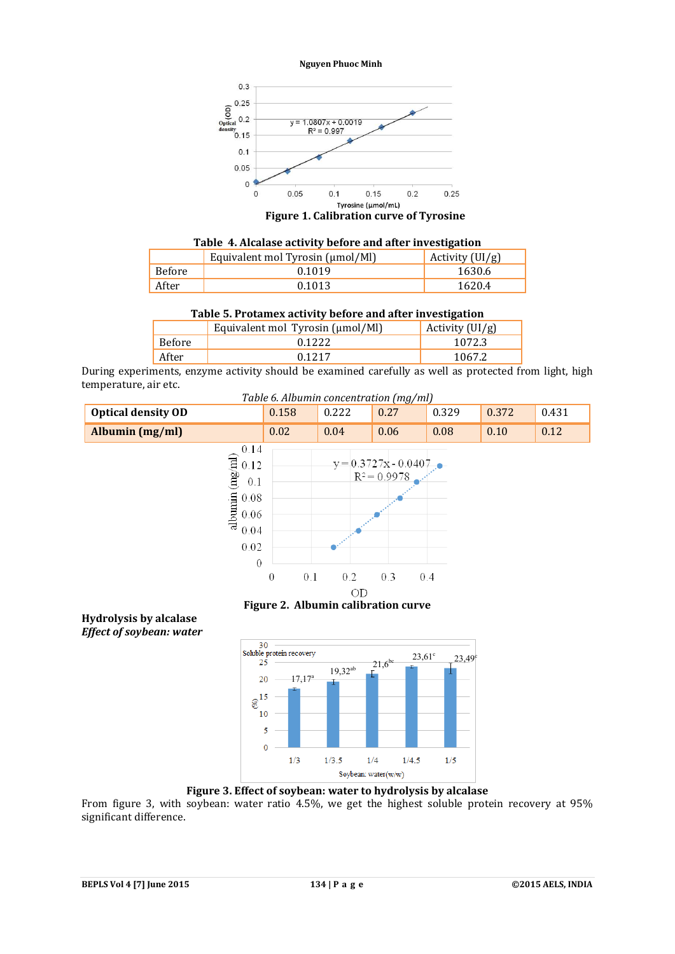

**Figure 1. Calibration curve of Tyrosine**

| Table 4. Alcalase activity before and after investigation |  |  |
|-----------------------------------------------------------|--|--|
|-----------------------------------------------------------|--|--|

|        | Equivalent mol Tyrosin (μmol/Ml) | Activity $(UI/g)$ |
|--------|----------------------------------|-------------------|
| Before | 0.1019                           | 1630.6            |
| After  | 0.1013                           | 1620.4            |

#### **Table 5. Protamex activity before and after investigation**

|        | Equivalent mol Tyrosin (µmol/Ml) | Activity $(UI/g)$ |
|--------|----------------------------------|-------------------|
| Before | 0.1222                           | 1072.3            |
| After  | 0.1217                           | 1067.2            |

During experiments, enzyme activity should be examined carefully as well as protected from light, high temperature, air etc.

*Table 6. Albumin concentration (mg/ml)*



**Figure 2. Albumin calibration curve**



**Figure 3. Effect of soybean: water to hydrolysis by alcalase**

From figure 3, with soybean: water ratio 4.5%, we get the highest soluble protein recovery at 95% significant difference.

**Hydrolysis by alcalase** *Effect of soybean: water*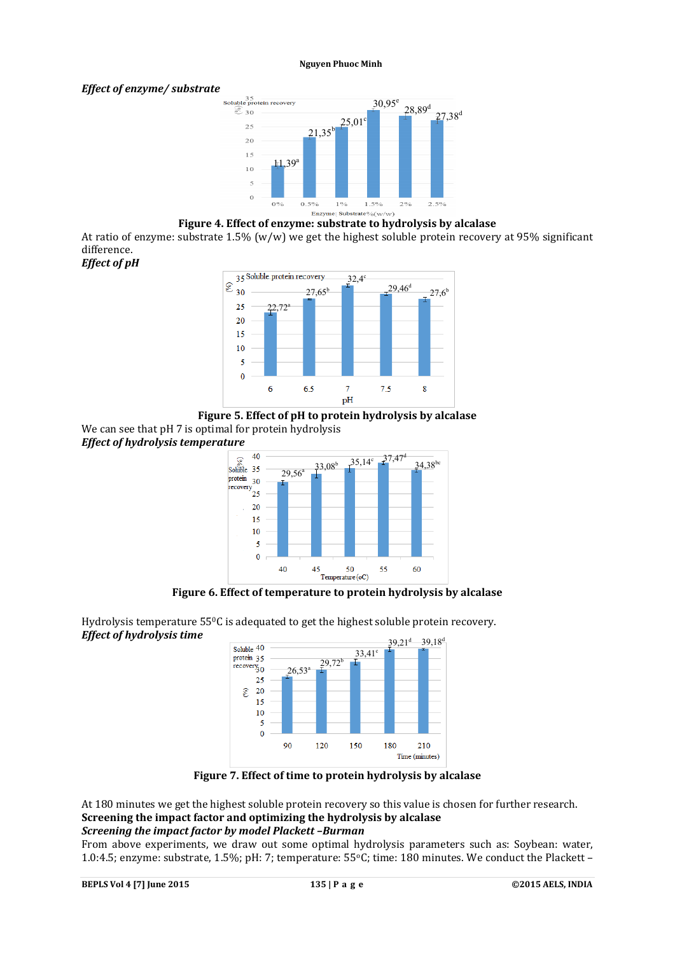## *Effect of enzyme/ substrate*



## **Figure 4. Effect of enzyme: substrate to hydrolysis by alcalase**

At ratio of enzyme: substrate 1.5% (w/w) we get the highest soluble protein recovery at 95% significant difference.











**Figure 6. Effect of temperature to protein hydrolysis by alcalase**



Hydrolysis temperature 55°C is adequated to get the highest soluble protein recovery. *Effect of hydrolysis time*

**Figure 7. Effect of time to protein hydrolysis by alcalase**

At 180 minutes we get the highest soluble protein recovery so this value is chosen for further research. **Screening the impact factor and optimizing the hydrolysis by alcalase** *Screening the impact factor by model Plackett –Burman*

From above experiments, we draw out some optimal hydrolysis parameters such as: Soybean: water, 1.0:4.5; enzyme: substrate, 1.5%; pH: 7; temperature: 55°C; time: 180 minutes. We conduct the Plackett –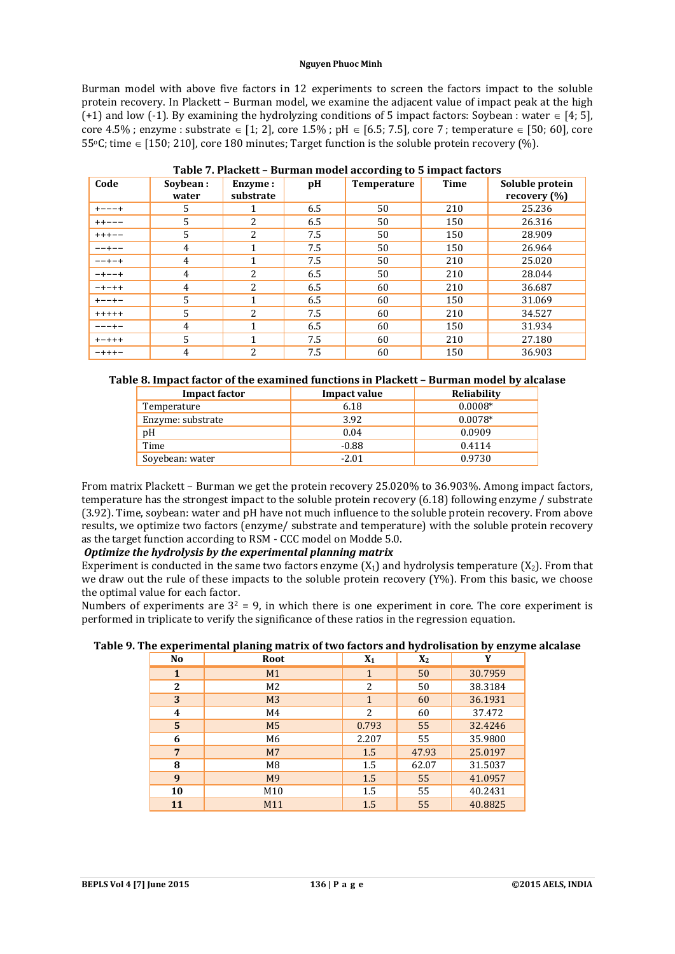Burman model with above five factors in 12 experiments to screen the factors impact to the soluble protein recovery. In Plackett – Burman model, we examine the adjacent value of impact peak at the high (+1) and low (-1). By examining the hydrolyzing conditions of 5 impact factors: Soybean : water  $\in$  [4; 5], core 4.5%; enzyme : substrate  $\in$  [1; 2], core 1.5%; pH  $\in$  [6.5; 7.5], core 7; temperature  $\in$  [50; 60], core 55 $\degree$ C; time  $\epsilon$  [150; 210], core 180 minutes; Target function is the soluble protein recovery (%).

| Code        | Sovbean:       | Enzyme:        | pH  | Temperature | $\frac{1}{2}$ , $\frac{1}{2}$ , $\frac{1}{2}$ , $\frac{1}{2}$<br><b>Time</b> | Soluble protein |
|-------------|----------------|----------------|-----|-------------|------------------------------------------------------------------------------|-----------------|
|             | water          | substrate      |     |             |                                                                              | recovery $(\%)$ |
| $+ - - - +$ | 5              |                | 6.5 | 50          | 210                                                                          | 25.236          |
| $++---$     | 5              | 2              | 6.5 | 50          | 150                                                                          | 26.316          |
| $++++-$     | $\overline{5}$ | 2              | 7.5 | 50          | 150                                                                          | 28.909          |
| $- - + - -$ | $\overline{4}$ | 1              | 7.5 | 50          | 150                                                                          | 26.964          |
| $- - + - +$ | 4              | 1              | 7.5 | 50          | 210                                                                          | 25.020          |
| $-+--+$     | $\overline{4}$ | 2              | 6.5 | 50          | 210                                                                          | 28.044          |
| $-+ - + +$  | 4              | $\overline{2}$ | 6.5 | 60          | 210                                                                          | 36.687          |
| $+ - - + -$ | .5             | 1              | 6.5 | 60          | 150                                                                          | 31.069          |
| $+++++$     | 5              | 2              | 7.5 | 60          | 210                                                                          | 34.527          |
| ---+-       | 4              | 1              | 6.5 | 60          | 150                                                                          | 31.934          |
| $+ - + + +$ | 5              | 1              | 7.5 | 60          | 210                                                                          | 27.180          |
| $- + + + -$ | 4              | 2              | 7.5 | 60          | 150                                                                          | 36.903          |

| Table 7. Plackett - Burman model according to 5 impact factors |  |  |  |
|----------------------------------------------------------------|--|--|--|
|                                                                |  |  |  |

## **Table 8. Impact factor of the examined functions in Plackett – Burman model by alcalase**

| <b>Impact factor</b> | <b>Impact value</b> | Reliability |
|----------------------|---------------------|-------------|
| Temperature          | 6.18                | $0.0008*$   |
| Enzyme: substrate    | 3.92                | $0.0078*$   |
| pH                   | 0.04                | 0.0909      |
| Time                 | $-0.88$             | 0.4114      |
| Soyebean: water      | $-2.01$             | 0.9730      |

From matrix Plackett – Burman we get the protein recovery 25.020% to 36.903%. Among impact factors, temperature has the strongest impact to the soluble protein recovery (6.18) following enzyme / substrate (3.92). Time, soybean: water and pH have not much influence to the soluble protein recovery. From above results, we optimize two factors (enzyme/ substrate and temperature) with the soluble protein recovery as the target function according to RSM - CCC model on Modde 5.0.

## *Optimize the hydrolysis by the experimental planning matrix*

Experiment is conducted in the same two factors enzyme  $(X_1)$  and hydrolysis temperature  $(X_2)$ . From that we draw out the rule of these impacts to the soluble protein recovery (Y%). From this basic, we choose the optimal value for each factor.

Numbers of experiments are  $3^2 = 9$ , in which there is one experiment in core. The core experiment is performed in triplicate to verify the significance of these ratios in the regression equation.

| . .<br>No      | к.<br>o<br>Root | $X_1$        | ╯<br>$X_2$ | <u> J</u><br>╯<br>Y |
|----------------|-----------------|--------------|------------|---------------------|
| $\mathbf{1}$   | M1              | $\mathbf{1}$ | 50         | 30.7959             |
| $\overline{2}$ | M <sub>2</sub>  | 2            | 50         | 38.3184             |
| 3              | M <sub>3</sub>  | $\mathbf{1}$ | 60         | 36.1931             |
| 4              | M4              | 2            | 60         | 37.472              |
| 5              | M <sub>5</sub>  | 0.793        | 55         | 32.4246             |
| 6              | M6              | 2.207        | 55         | 35.9800             |
| 7              | M <sub>7</sub>  | 1.5          | 47.93      | 25.0197             |
| 8              | M <sub>8</sub>  | 1.5          | 62.07      | 31.5037             |
| 9              | M9              | 1.5          | 55         | 41.0957             |
| 10             | M10             | 1.5          | 55         | 40.2431             |
| 11             | M11             | 1.5          | 55         | 40.8825             |

**Table 9. The experimental planing matrix of two factors and hydrolisation by enzyme alcalase**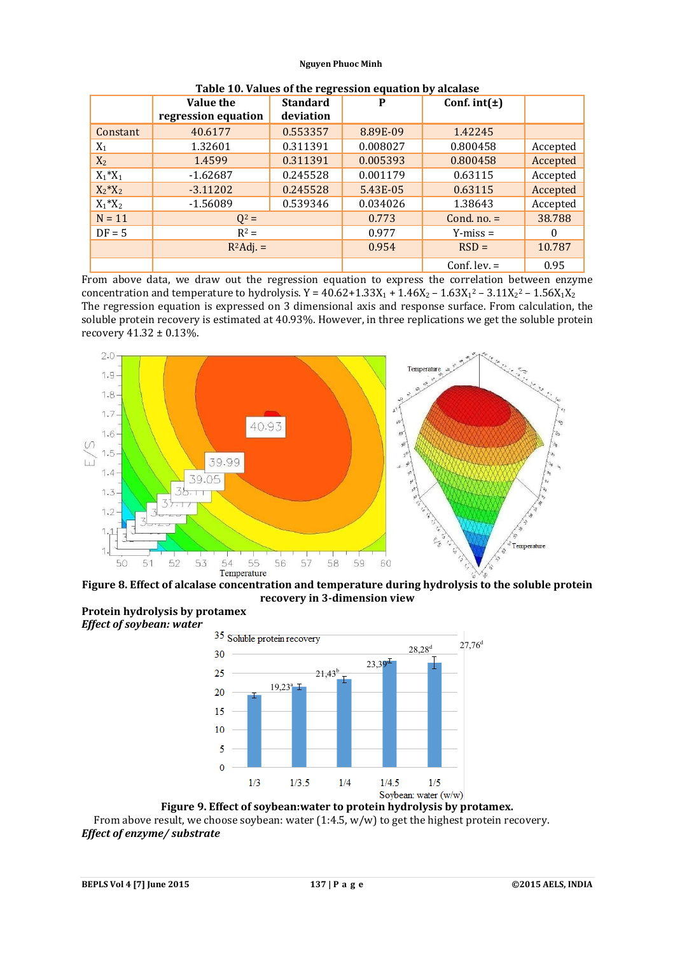|                | Value the<br>regression equation | <b>Standard</b><br>deviation | P        | Conf. $int(\pm)$ |          |
|----------------|----------------------------------|------------------------------|----------|------------------|----------|
| Constant       | 40.6177                          | 0.553357                     | 8.89E-09 | 1.42245          |          |
| $\mathrm{X}_1$ | 1.32601                          | 0.311391                     | 0.008027 | 0.800458         | Accepted |
| $X_2$          | 1.4599                           | 0.311391                     | 0.005393 | 0.800458         | Accepted |
| $X_1^*X_1$     | $-1.62687$                       | 0.245528                     | 0.001179 | 0.63115          | Accepted |
| $X_2^*X_2$     | $-3.11202$                       | 0.245528                     | 5.43E-05 | 0.63115          | Accepted |
| $X_1^*X_2$     | $-1.56089$                       | 0.539346                     | 0.034026 | 1.38643          | Accepted |
| $N = 11$       | $Q^2 =$                          |                              | 0.773    | Cond. $no. =$    | 38.788   |
| $DF = 5$       | $R^2 =$                          |                              | 0.977    | $Y-miss =$       | $\Omega$ |
|                | $R^2$ Adj. =                     |                              | 0.954    | $RSD =$          | 10.787   |
|                |                                  |                              |          | Conf. lev. $=$   | 0.95     |

| Table 10. Values of the regression equation by alcalase |
|---------------------------------------------------------|
|---------------------------------------------------------|

From above data, we draw out the regression equation to express the correlation between enzyme concentration and temperature to hydrolysis.  $Y = 40.62 + 1.33X_1 + 1.46X_2 - 1.63X_1^2 - 3.11X_2^2 - 1.56X_1X_2$ The regression equation is expressed on 3 dimensional axis and response surface. From calculation, the soluble protein recovery is estimated at 40.93%. However, in three replications we get the soluble protein recovery 41.32 ± 0.13%.



**Figure 8. Effect of alcalase concentration and temperature during hydrolysis to the soluble protein recovery in 3-dimension view**





**Figure 9. Effect of soybean:water to protein hydrolysis by protamex.** From above result, we choose soybean: water  $(1:4.5, w/w)$  to get the highest protein recovery. *Effect of enzyme/ substrate*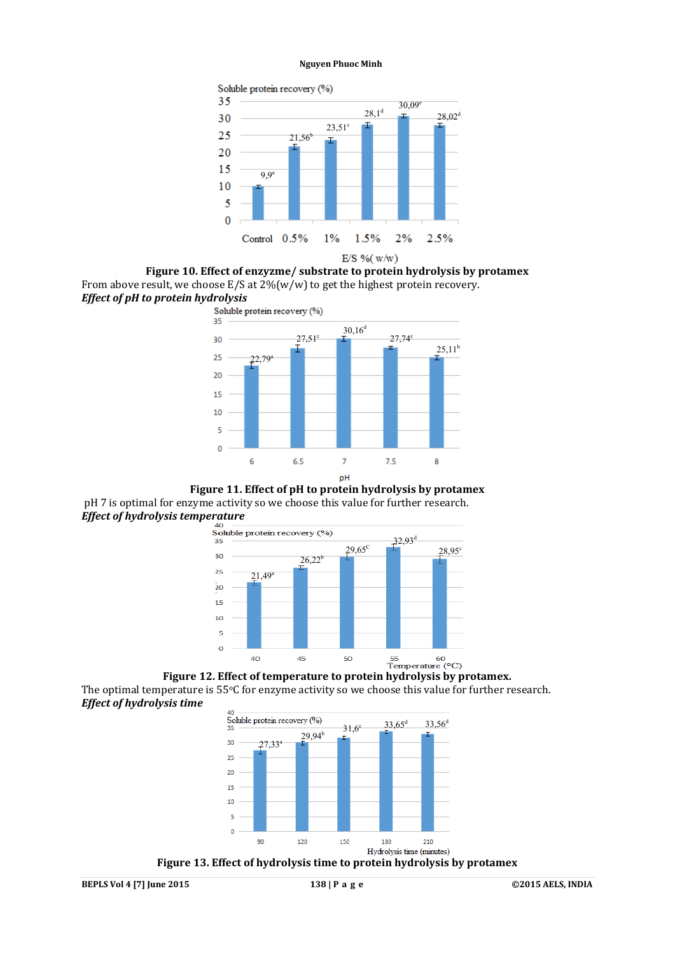![](_page_6_Figure_1.jpeg)

**Figure 10. Effect of enzyzme/ substrate to protein hydrolysis by protamex** From above result, we choose  $E/S$  at  $2\frac{6}{w}$  to get the highest protein recovery. *Effect of pH to protein hydrolysis*

![](_page_6_Figure_3.jpeg)

**Figure 11. Effect of pH to protein hydrolysis by protamex** pH 7 is optimal for enzyme activity so we choose this value for further research. *Effect of hydrolysis temperature*<br>
<sup>40</sup><br>
Soluble protein recovery (%)

![](_page_6_Figure_5.jpeg)

**Figure 12. Effect of temperature to protein hydrolysis by protamex.** The optimal temperature is 55<sup>o</sup>C for enzyme activity so we choose this value for further research. *Effect of hydrolysis time*

![](_page_6_Figure_7.jpeg)

**Figure 13. Effect of hydrolysis time to protein hydrolysis by protamex**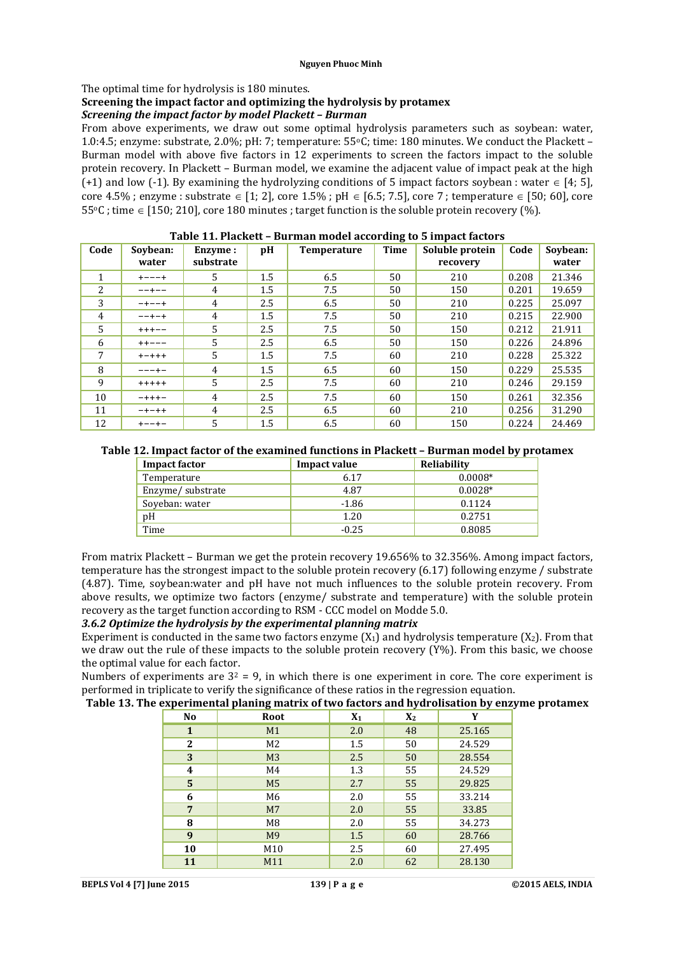### The optimal time for hydrolysis is 180 minutes.

#### **Screening the impact factor and optimizing the hydrolysis by protamex** *Screening the impact factor by model Plackett – Burman*

From above experiments, we draw out some optimal hydrolysis parameters such as soybean: water, 1.0:4.5; enzyme: substrate, 2.0%; pH: 7; temperature: 55°C; time: 180 minutes. We conduct the Plackett -Burman model with above five factors in 12 experiments to screen the factors impact to the soluble protein recovery. In Plackett – Burman model, we examine the adjacent value of impact peak at the high (+1) and low (-1). By examining the hydrolyzing conditions of 5 impact factors soybean : water  $\in$  [4; 5], core 4.5%; enzyme : substrate  $\in$  [1; 2], core 1.5%; pH  $\in$  [6.5; 7.5], core 7; temperature  $\in$  [50; 60], core  $55\degree$ C ; time  $\in$  [150; 210], core 180 minutes ; target function is the soluble protein recovery (%).

| Code | Sovbean:    | Enzyme:        | pH  | <b>Temperature</b> | <b>Time</b> | Soluble protein | Code  | Sovbean: |
|------|-------------|----------------|-----|--------------------|-------------|-----------------|-------|----------|
|      | water       | substrate      |     |                    |             | recovery        |       | water    |
| 1    | $+ - - - +$ | .5             | 1.5 | 6.5                | 50          | 210             | 0.208 | 21.346   |
| 2    | $- - + - -$ | 4              | 1.5 | 7.5                | 50          | 150             | 0.201 | 19.659   |
| 3    | $-+--+$     | 4              | 2.5 | 6.5                | 50          | 210             | 0.225 | 25.097   |
| 4    | $- - + - +$ | 4              | 1.5 | 7.5                | 50          | 210             | 0.215 | 22.900   |
| 5    | $++++--$    | 5              | 2.5 | 7.5                | 50          | 150             | 0.212 | 21.911   |
| 6    | $++---$     | $\overline{5}$ | 2.5 | 6.5                | 50          | 150             | 0.226 | 24.896   |
| 7    | $+ - + + +$ | 5              | 1.5 | 7.5                | 60          | 210             | 0.228 | 25.322   |
| 8    | $- - - + -$ | 4              | 1.5 | 6.5                | 60          | 150             | 0.229 | 25.535   |
| 9    | $+++++$     | 5              | 2.5 | 7.5                | 60          | 210             | 0.246 | 29.159   |
| 10   | $- + + + -$ | 4              | 2.5 | 7.5                | 60          | 150             | 0.261 | 32.356   |
| 11   | $-+ - + +$  | 4              | 2.5 | 6.5                | 60          | 210             | 0.256 | 31.290   |
| 12   | $+ - - + -$ | 5              | 1.5 | 6.5                | 60          | 150             | 0.224 | 24.469   |

| Table 11. Plackett - Burman model according to 5 impact factors |
|-----------------------------------------------------------------|
|-----------------------------------------------------------------|

| Table 12. Impact factor of the examined functions in Plackett - Burman model by protamex |
|------------------------------------------------------------------------------------------|
|------------------------------------------------------------------------------------------|

| <b>Impact factor</b> | Impact value | Reliability |
|----------------------|--------------|-------------|
| Temperature          | 6.17         | $0.0008*$   |
| Enzyme/substrate     | 4.87         | $0.0028*$   |
| Soyeban: water       | $-1.86$      | 0.1124      |
| pH                   | 1.20         | 0.2751      |
| Time                 | $-0.25$      | 0.8085      |

From matrix Plackett – Burman we get the protein recovery 19.656% to 32.356%. Among impact factors, temperature has the strongest impact to the soluble protein recovery (6.17) following enzyme / substrate (4.87). Time, soybean:water and pH have not much influences to the soluble protein recovery. From above results, we optimize two factors (enzyme/ substrate and temperature) with the soluble protein recovery as the target function according to RSM - CCC model on Modde 5.0.

### *3.6.2 Optimize the hydrolysis by the experimental planning matrix*

Experiment is conducted in the same two factors enzyme  $(X_1)$  and hydrolysis temperature  $(X_2)$ . From that we draw out the rule of these impacts to the soluble protein recovery (Y%). From this basic, we choose the optimal value for each factor.

Numbers of experiments are  $3^2$  = 9, in which there is one experiment in core. The core experiment is performed in triplicate to verify the significance of these ratios in the regression equation.

## **Table 13. The experimental planing matrix of two factors and hydrolisation by enzyme protamex**

| N <sub>0</sub> | Root           | $X_1$ | $X_2$ | Y      |
|----------------|----------------|-------|-------|--------|
| 1              | M1             | 2.0   | 48    | 25.165 |
| $\mathbf{2}$   | M <sub>2</sub> | 1.5   | 50    | 24.529 |
| 3              | M <sub>3</sub> | 2.5   | 50    | 28.554 |
| 4              | M4             | 1.3   | 55    | 24.529 |
| 5              | M <sub>5</sub> | 2.7   | 55    | 29.825 |
| 6              | M6             | 2.0   | 55    | 33.214 |
| 7              | M <sub>7</sub> | 2.0   | 55    | 33.85  |
| 8              | M <sub>8</sub> | 2.0   | 55    | 34.273 |
| 9              | M <sub>9</sub> | 1.5   | 60    | 28.766 |
| 10             | M10            | 2.5   | 60    | 27.495 |
| 11             | M11            | 2.0   | 62    | 28.130 |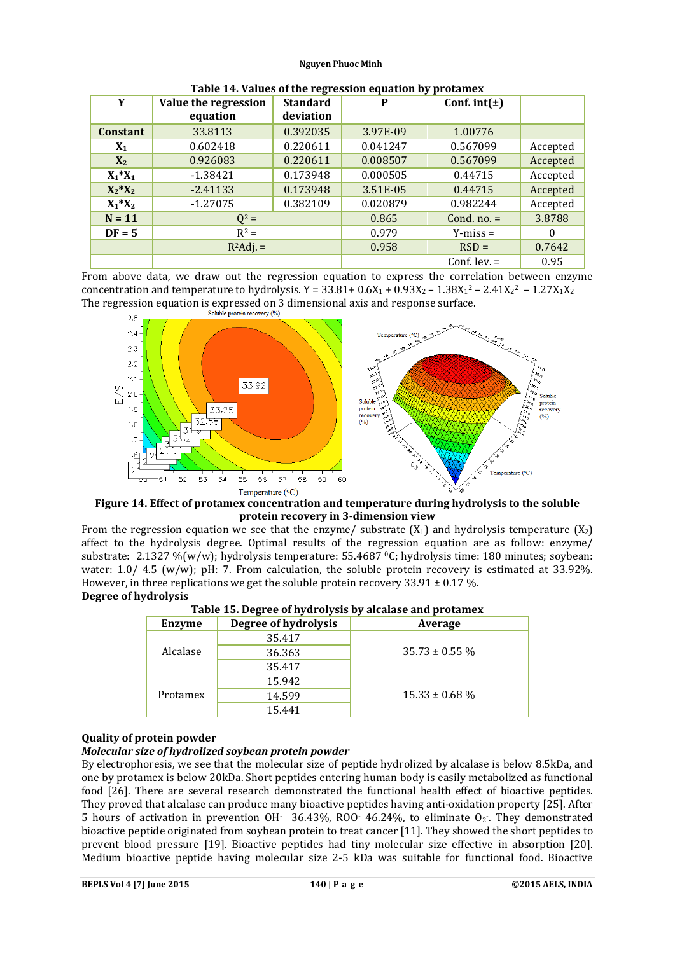| Y               | <b>Standard</b><br>Value the regression<br>deviation |          | P        | . .<br>Conf. $int(\pm)$ |          |
|-----------------|------------------------------------------------------|----------|----------|-------------------------|----------|
|                 | equation                                             |          |          |                         |          |
| <b>Constant</b> | 33.8113                                              | 0.392035 | 3.97E-09 | 1.00776                 |          |
| $X_1$           | 0.602418<br>0.220611                                 |          | 0.041247 | 0.567099                | Accepted |
| $X_2$           | 0.926083<br>0.220611                                 |          | 0.008507 | 0.567099                | Accepted |
| $X_1^*X_1$      | 0.173948<br>$-1.38421$                               |          | 0.000505 | 0.44715                 | Accepted |
| $X_2^*X_2$      | 0.173948<br>$-2.41133$                               |          | 3.51E-05 | 0.44715                 | Accepted |
| $X_1^*X_2$      | 0.382109<br>$-1.27075$                               |          | 0.020879 | 0.982244                | Accepted |
| $N = 11$        | $Q^2 =$                                              |          | 0.865    | Cond. $no. =$           | 3.8788   |
| $DF = 5$        | $R^2 =$                                              |          | 0.979    | $Y$ -miss =             | $\Omega$ |
|                 | $R^2$ Adj. =                                         |          | 0.958    | $RSD =$                 | 0.7642   |
|                 |                                                      |          |          | Conf. lev. $=$          | 0.95     |

|--|

From above data, we draw out the regression equation to express the correlation between enzyme concentration and temperature to hydrolysis. Y =  $33.81 + 0.6X_1 + 0.93X_2 - 1.38X_1^2 - 2.41X_2^2 - 1.27X_1X_2$ The regression equation is expressed on 3 dimensional axis and response surface.

![](_page_8_Figure_4.jpeg)

**Figure 14. Effect of protamex concentration and temperature during hydrolysis to the soluble protein recovery in 3-dimension view**

From the regression equation we see that the enzyme/ substrate  $(X_1)$  and hydrolysis temperature  $(X_2)$ affect to the hydrolysis degree. Optimal results of the regression equation are as follow: enzyme/ substrate: 2.1327 %(w/w); hydrolysis temperature: 55.4687 0C; hydrolysis time: 180 minutes; soybean: water: 1.0/ 4.5 (w/w); pH: 7. From calculation, the soluble protein recovery is estimated at 33.92%. However, in three replications we get the soluble protein recovery  $33.91 \pm 0.17$  %. **Degree of hydrolysis**

| Enzyme               | Degree of hydrolysis | Average             |  |
|----------------------|----------------------|---------------------|--|
|                      | 35.417               |                     |  |
| Alcalase<br>Protamex | 36.363               | $35.73 \pm 0.55 \%$ |  |
|                      | 35.417               |                     |  |
|                      | 15.942               |                     |  |
|                      | 14.599               | $15.33 \pm 0.68$ %  |  |
|                      | 15.441               |                     |  |

**Table 15. Degree of hydrolysis by alcalase and protamex**

## **Quality of protein powder**

## *Molecular size of hydrolized soybean protein powder*

By electrophoresis, we see that the molecular size of peptide hydrolized by alcalase is below 8.5kDa, and one by protamex is below 20kDa. Short peptides entering human body is easily metabolized as functional food [26]. There are several research demonstrated the functional health effect of bioactive peptides. They proved that alcalase can produce many bioactive peptides having anti-oxidation property [25]. After 5 hours of activation in prevention OH $-$  36.43%, ROO $-$  46.24%, to eliminate O<sub>2</sub>. They demonstrated bioactive peptide originated from soybean protein to treat cancer [11]. They showed the short peptides to prevent blood pressure [19]. Bioactive peptides had tiny molecular size effective in absorption [20]. Medium bioactive peptide having molecular size 2-5 kDa was suitable for functional food. Bioactive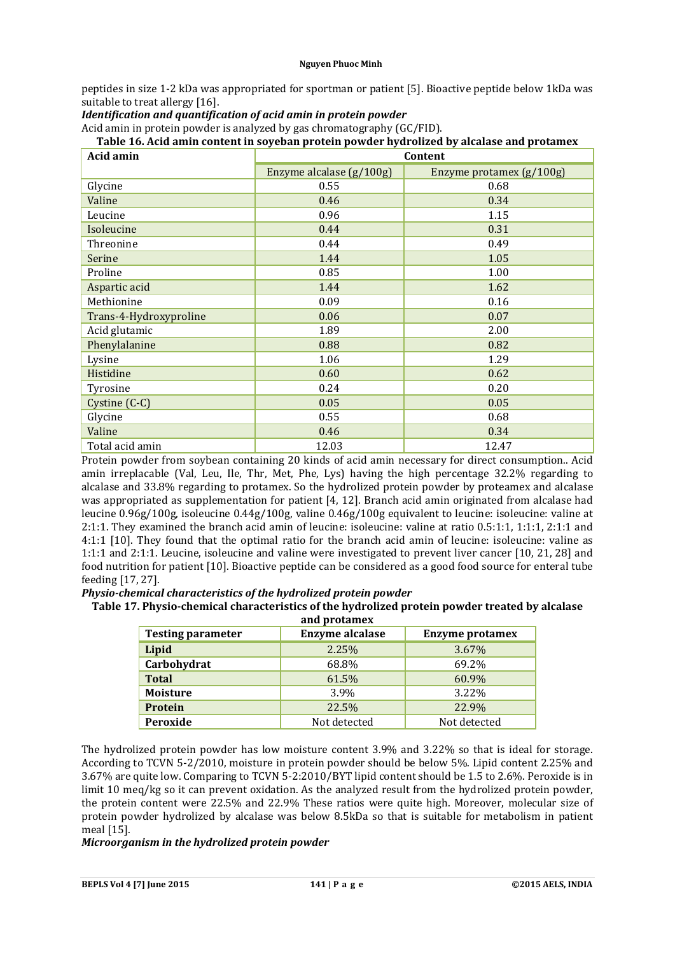peptides in size 1-2 kDa was appropriated for sportman or patient [5]. Bioactive peptide below 1kDa was suitable to treat allergy [16].

## *Identification and quantification of acid amin in protein powder*

Acid amin in protein powder is analyzed by gas chromatography (GC/FID).

## **Table 16. Acid amin content in soyeban protein powder hydrolized by alcalase and protamex**

| Acid amin              | Content                  |                          |  |
|------------------------|--------------------------|--------------------------|--|
|                        | Enzyme alcalase (g/100g) | Enzyme protamex (g/100g) |  |
| Glycine                | 0.55                     | 0.68                     |  |
| Valine                 | 0.46                     | 0.34                     |  |
| Leucine                | 0.96                     | 1.15                     |  |
| Isoleucine             | 0.44                     | 0.31                     |  |
| Threonine              | 0.44                     | 0.49                     |  |
| Serine                 | 1.44                     | 1.05                     |  |
| Proline                | 0.85                     | 1.00                     |  |
| Aspartic acid          | 1.44                     | 1.62                     |  |
| Methionine             | 0.09                     | 0.16                     |  |
| Trans-4-Hydroxyproline | 0.06                     | 0.07                     |  |
| Acid glutamic          | 1.89                     | 2.00                     |  |
| Phenylalanine          | 0.88                     | 0.82                     |  |
| Lysine                 | 1.06                     | 1.29                     |  |
| Histidine              | 0.60                     | 0.62                     |  |
| Tyrosine               | 0.24                     | 0.20                     |  |
| Cystine (C-C)          | 0.05                     | 0.05                     |  |
| Glycine                | 0.55                     | 0.68                     |  |
| Valine                 | 0.46                     | 0.34                     |  |
| Total acid amin        | 12.03                    | 12.47                    |  |

Protein powder from soybean containing 20 kinds of acid amin necessary for direct consumption.. Acid amin irreplacable (Val, Leu, Ile, Thr, Met, Phe, Lys) having the high percentage 32.2% regarding to alcalase and 33.8% regarding to protamex. So the hydrolized protein powder by proteamex and alcalase was appropriated as supplementation for patient [4, 12]. Branch acid amin originated from alcalase had leucine 0.96g/100g, isoleucine 0.44g/100g, valine 0.46g/100g equivalent to leucine: isoleucine: valine at 2:1:1. They examined the branch acid amin of leucine: isoleucine: valine at ratio 0.5:1:1, 1:1:1, 2:1:1 and 4:1:1 [10]. They found that the optimal ratio for the branch acid amin of leucine: isoleucine: valine as 1:1:1 and 2:1:1. Leucine, isoleucine and valine were investigated to prevent liver cancer [10, 21, 28] and food nutrition for patient [10]. Bioactive peptide can be considered as a good food source for enteral tube feeding [17, 27].

*Physio-chemical characteristics of the hydrolized protein powder*

## **Table 17. Physio-chemical characteristics of the hydrolized protein powder treated by alcalase**

| and protamex             |                        |                        |  |  |  |
|--------------------------|------------------------|------------------------|--|--|--|
| <b>Testing parameter</b> | <b>Enzyme alcalase</b> | <b>Enzyme protamex</b> |  |  |  |
| Lipid                    | 2.25%                  | 3.67%                  |  |  |  |
| Carbohydrat              | 68.8%                  | 69.2%                  |  |  |  |
| <b>Total</b>             | 61.5%                  | 60.9%                  |  |  |  |
| <b>Moisture</b>          | 3.9%                   | 3.22%                  |  |  |  |
| <b>Protein</b>           | 22.5%                  | 22.9%                  |  |  |  |
| Peroxide                 | Not detected           | Not detected           |  |  |  |

The hydrolized protein powder has low moisture content 3.9% and 3.22% so that is ideal for storage. According to TCVN 5-2/2010, moisture in protein powder should be below 5%. Lipid content 2.25% and 3.67% are quite low. Comparing to TCVN 5-2:2010/BYT lipid content should be 1.5 to 2.6%. Peroxide is in limit 10 meq/kg so it can prevent oxidation. As the analyzed result from the hydrolized protein powder, the protein content were 22.5% and 22.9% These ratios were quite high. Moreover, molecular size of protein powder hydrolized by alcalase was below 8.5kDa so that is suitable for metabolism in patient meal [15].

### *Microorganism in the hydrolized protein powder*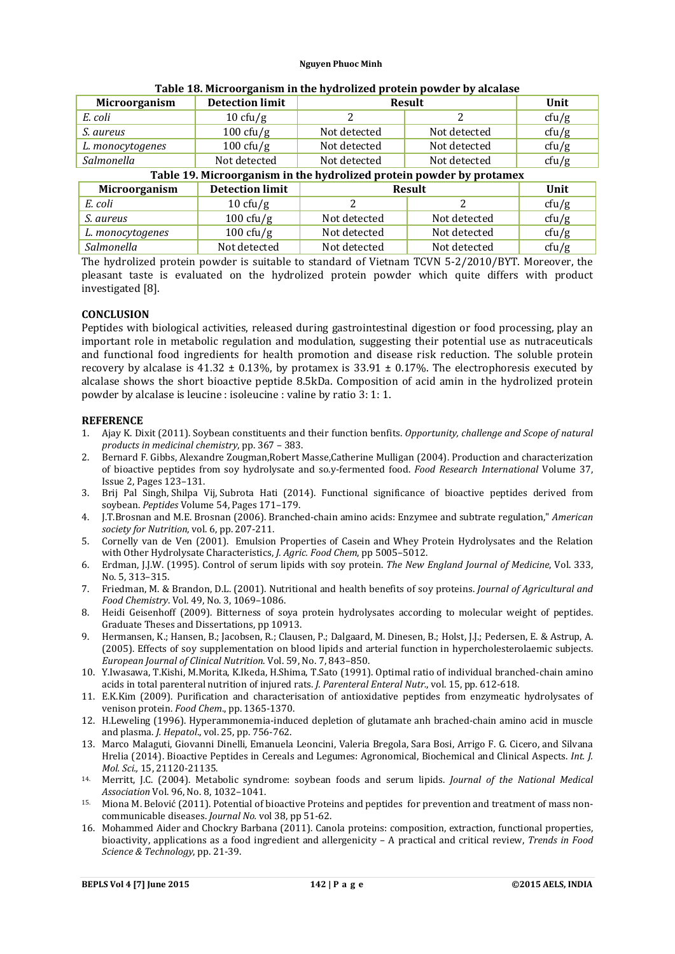| Microorganism                                                        | <b>Detection limit</b> | <b>Result</b> | Unit          |       |  |  |
|----------------------------------------------------------------------|------------------------|---------------|---------------|-------|--|--|
| E. coli                                                              | $10 \text{ cfty/g}$    |               |               | cfu/g |  |  |
| S. aureus                                                            | 100 cfu/g              | Not detected  | Not detected  | cfu/g |  |  |
| L. monocytogenes                                                     | 100 cfu/g              | Not detected  | Not detected  | cfu/g |  |  |
| Salmonella                                                           | Not detected           | Not detected  | Not detected  | cfu/g |  |  |
| Table 19. Microorganism in the hydrolized protein powder by protamex |                        |               |               |       |  |  |
| Microorganism                                                        | <b>Detection limit</b> |               | <b>Result</b> | Unit  |  |  |
| E. coli                                                              | $10 \text{ cft/g}$     |               |               | cfu/g |  |  |
| S. aureus                                                            | $100 \text{ cfty/g}$   | Not detected  | Not detected  | cfu/g |  |  |

| Table 18. Microorganism in the hydrolized protein powder by alcalase |  |
|----------------------------------------------------------------------|--|
|----------------------------------------------------------------------|--|

The hydrolized protein powder is suitable to standard of Vietnam TCVN 5-2/2010/BYT. Moreover, the pleasant taste is evaluated on the hydrolized protein powder which quite differs with product investigated [8].

*L. monocytogenes* 100 cfu/g Not detected Not detected cfu/g *Salmonella* Not detected Not detected Not detected cfu/g

## **CONCLUSION**

Peptides with biological activities, released during gastrointestinal digestion or food processing, play an important role in metabolic regulation and modulation, suggesting their potential use as nutraceuticals and functional food ingredients for health promotion and disease risk reduction. The soluble protein recovery by alcalase is 41.32  $\pm$  0.13%, by protamex is 33.91  $\pm$  0.17%. The electrophoresis executed by alcalase shows the short bioactive peptide 8.5kDa. Composition of acid amin in the hydrolized protein powder by alcalase is leucine : isoleucine : valine by ratio 3: 1: 1.

### **REFERENCE**

- 1. Ajay K. Dixit (2011). Soybean constituents and their function benfits. *Opportunity, challenge and Scope of natural products in medicinal chemistry*, pp. 367 – 383.
- 2. Bernard F. Gibbs, Alexandre Zougman,Robert Masse,Catherine Mulligan (2004). Production and characterization of bioactive peptides from soy hydrolysate and so.y-fermented food. *Food Research International* Volume 37, Issue 2, Pages 123–131.
- 3. Brij Pal Singh, Shilpa Vij, Subrota Hati (2014). Functional significance of bioactive peptides derived from soybean. *Peptides* Volume 54, Pages 171–179.
- 4. J.T.Brosnan and M.E. Brosnan (2006). Branched-chain amino acids: Enzymee and subtrate regulation," *American society for Nutrition*, vol. 6, pp. 207-211.
- 5. Cornelly van de Ven (2001). Emulsion Properties of Casein and Whey Protein Hydrolysates and the Relation with Other Hydrolysate Characteristics, *J. Agric. Food Chem*, pp 5005–5012.
- 6. Erdman, J.J.W. (1995). Control of serum lipids with soy protein. *The New England Journal of Medicine*, Vol. 333, No. 5, 313–315.
- 7. Friedman, M. & Brandon, D.L. (2001). Nutritional and health benefits of soy proteins. *Journal of Agricultural and Food Chemistry*. Vol. 49, No. 3, 1069–1086.
- 8. Heidi Geisenhoff (2009). Bitterness of soya protein hydrolysates according to molecular weight of peptides. Graduate Theses and Dissertations, pp 10913.
- 9. Hermansen, K.; Hansen, B.; Jacobsen, R.; Clausen, P.; Dalgaard, M. Dinesen, B.; Holst, J.J.; Pedersen, E. & Astrup, A. (2005). Effects of soy supplementation on blood lipids and arterial function in hypercholesterolaemic subjects. *European Journal of Clinical Nutrition*. Vol. 59, No. 7, 843–850.
- 10. Y.Iwasawa, T.Kishi, M.Morita, K.Ikeda, H.Shima, T.Sato (1991). Optimal ratio of individual branched-chain amino acids in total parenteral nutrition of injured rats. *J. Parenteral Enteral Nutr.*, vol. 15, pp. 612-618.
- 11. E.K.Kim (2009). Purification and characterisation of antioxidative peptides from enzymeatic hydrolysates of venison protein. *Food Chem*., pp. 1365-1370.
- 12. H.Leweling (1996). Hyperammonemia-induced depletion of glutamate anh brached-chain amino acid in muscle and plasma. *J. Hepatol*., vol. 25, pp. 756-762.
- 13. Marco Malaguti, Giovanni Dinelli, Emanuela Leoncini, Valeria Bregola, Sara Bosi, Arrigo F. G. Cicero, and Silvana Hrelia (2014). Bioactive Peptides in Cereals and Legumes: Agronomical, Biochemical and Clinical Aspects. *Int. J. Mol. Sci.,* 15, 21120-21135. 14. Merritt, J.C. (2004). Metabolic syndrome: soybean foods and serum lipids. *Journal of the National Medical*
- *Association* Vol. 96, No. 8, 1032–1041.
- 15. Miona M. Belović (2011). Potential of bioactive Proteins and peptides for prevention and treatment of mass noncommunicable diseases. *Journal No.* vol 38, pp 51-62.
- 16. Mohammed Aider and Chockry Barbana (2011). Canola proteins: composition, extraction, functional properties, bioactivity, applications as a food ingredient and allergenicity – A practical and critical review, *Trends in Food Science & Technology*, pp. 21-39.